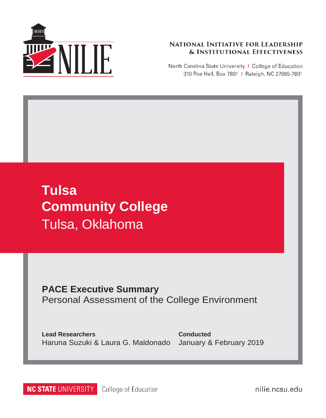

#### **NATIONAL INITIATIVE FOR LEADERSHIP & INSTITUTIONAL EFFECTIVENESS**

North Carolina State University | College of Education 310 Poe Hall, Box 7801 | Raleigh, NC 27695-7801

# **Tulsa Community College** Tulsa, Oklahoma

## **PACE Executive Summary** Personal Assessment of the College Environment

**Lead Researchers** Haruna Suzuki & Laura G. Maldonado

**Conducted** January & February 2019

**NC STATE UNIVERSITY** College of Education nilie.ncsu.edu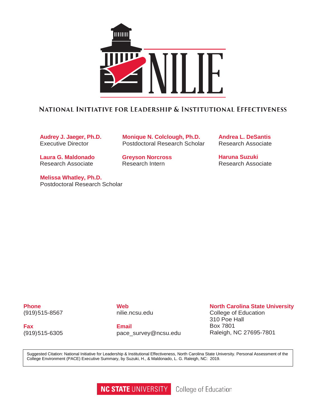

### NATIONAL INITIATIVE FOR LEADERSHIP & INSTITUTIONAL EFFECTIVENESS

**Audrey J. Jaeger, Ph.D.** Executive Director

**Laura G. Maldonado** Research Associate

**Melissa Whatley, Ph.D.** Postdoctoral Research Scholar

**Monique N. Colclough, Ph.D.** Postdoctoral Research Scholar

**Greyson Norcross** Research Intern

**Andrea L. DeSantis** Research Associate

**Haruna Suzuki** Research Associate

**Phone** (919)515-8567

**Fax** (919)515-6305 **Web** nilie.ncsu.edu

**Email** [pace\\_survey@ncsu.edu](mailto:pace_survey@ncsu.edu)

#### **North Carolina State University**

College of Education 310 Poe Hall Box 7801 Raleigh, NC 27695-7801

Suggested Citation: National Initiative for Leadership & Institutional Effectiveness, North Carolina State University. Personal Assessment of the College Environment (PACE) Executive Summary, by Suzuki, H., & Maldonado, L. G. Raleigh, NC: 2019.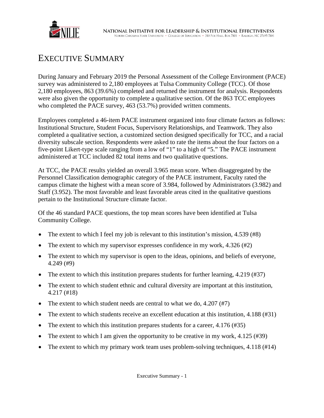

## EXECUTIVE SUMMARY

During January and February 2019 the Personal Assessment of the College Environment (PACE) survey was administered to 2,180 employees at Tulsa Community College (TCC). Of those 2,180 employees, 863 (39.6%) completed and returned the instrument for analysis. Respondents were also given the opportunity to complete a qualitative section. Of the 863 TCC employees who completed the PACE survey, 463 (53.7%) provided written comments.

Employees completed a 46-item PACE instrument organized into four climate factors as follows: Institutional Structure, Student Focus, Supervisory Relationships, and Teamwork. They also completed a qualitative section, a customized section designed specifically for TCC, and a racial diversity subscale section. Respondents were asked to rate the items about the four factors on a five-point Likert-type scale ranging from a low of "1" to a high of "5." The PACE instrument administered at TCC included 82 total items and two qualitative questions.

At TCC, the PACE results yielded an overall 3.965 mean score. When disaggregated by the Personnel Classification demographic category of the PACE instrument, Faculty rated the campus climate the highest with a mean score of 3.984, followed by Administrators (3.982) and Staff (3.952). The most favorable and least favorable areas cited in the qualitative questions pertain to the Institutional Structure climate factor.

Of the 46 standard PACE questions, the top mean scores have been identified at Tulsa Community College.

- The extent to which I feel my job is relevant to this institution's mission, 4.539 (#8)
- The extent to which my supervisor expresses confidence in my work,  $4.326 \text{ } (\#2)$
- The extent to which my supervisor is open to the ideas, opinions, and beliefs of everyone, 4.249 (#9)
- The extent to which this institution prepares students for further learning,  $4.219$  (#37)
- The extent to which student ethnic and cultural diversity are important at this institution, 4.217 (#18)
- The extent to which student needs are central to what we do,  $4.207 \, (\text{\#}7)$
- The extent to which students receive an excellent education at this institution, 4.188 (#31)
- The extent to which this institution prepares students for a career,  $4.176 \,(#35)$
- The extent to which I am given the opportunity to be creative in my work, 4.125 (#39)
- The extent to which my primary work team uses problem-solving techniques, 4.118 (#14)